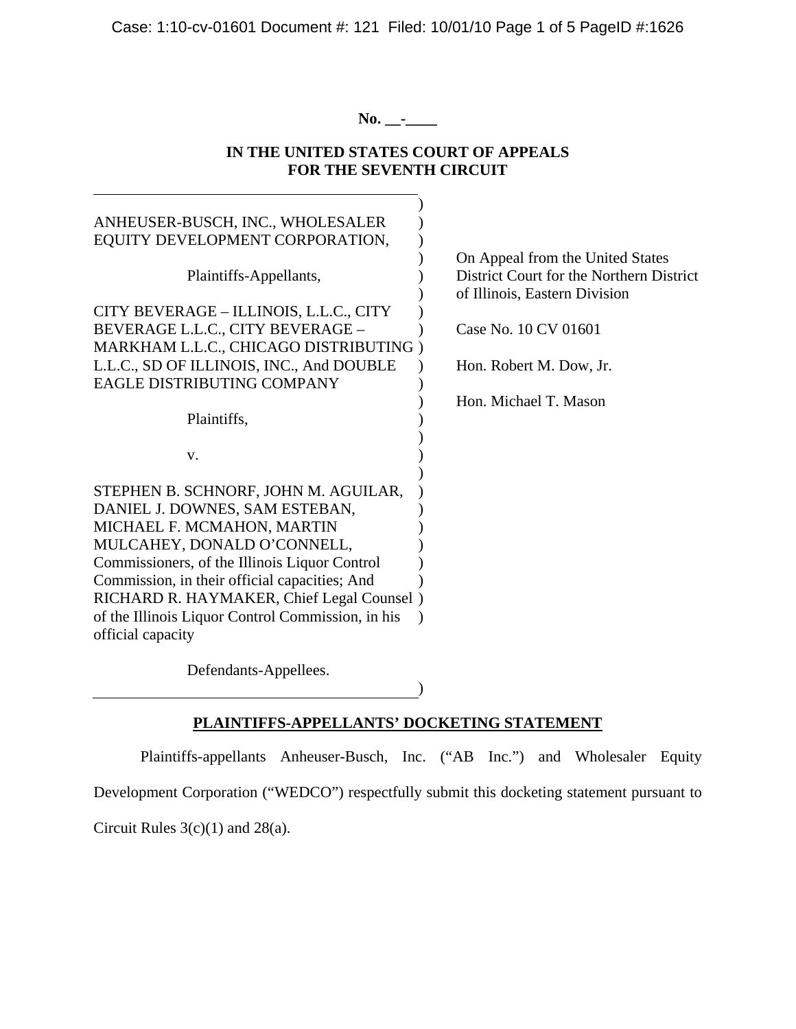Case: 1:10-cv-01601 Document #: 121 Filed: 10/01/10 Page 1 of 5 PageID #:1626

**No. \_\_-\_\_\_\_** 

# **IN THE UNITED STATES COURT OF APPEALS FOR THE SEVENTH CIRCUIT**

| ANHEUSER-BUSCH, INC., WHOLESALER                             |                                          |
|--------------------------------------------------------------|------------------------------------------|
| EQUITY DEVELOPMENT CORPORATION,                              |                                          |
|                                                              | On Appeal from the United States         |
| Plaintiffs-Appellants,                                       | District Court for the Northern District |
|                                                              | of Illinois, Eastern Division            |
| CITY BEVERAGE - ILLINOIS, L.L.C., CITY                       |                                          |
| BEVERAGE L.L.C., CITY BEVERAGE -                             | Case No. 10 CV 01601                     |
| MARKHAM L.L.C., CHICAGO DISTRIBUTING)                        |                                          |
| L.L.C., SD OF ILLINOIS, INC., And DOUBLE                     | Hon. Robert M. Dow, Jr.                  |
| EAGLE DISTRIBUTING COMPANY                                   |                                          |
|                                                              | Hon. Michael T. Mason                    |
| Plaintiffs,                                                  |                                          |
|                                                              |                                          |
| V.                                                           |                                          |
|                                                              |                                          |
| STEPHEN B. SCHNORF, JOHN M. AGUILAR,                         |                                          |
| DANIEL J. DOWNES, SAM ESTEBAN,<br>MICHAEL F. MCMAHON, MARTIN |                                          |
| MULCAHEY, DONALD O'CONNELL,                                  |                                          |
| Commissioners, of the Illinois Liquor Control                |                                          |
| Commission, in their official capacities; And                |                                          |
| RICHARD R. HAYMAKER, Chief Legal Counsel)                    |                                          |
| of the Illinois Liquor Control Commission, in his            |                                          |
| official capacity                                            |                                          |
|                                                              |                                          |
|                                                              |                                          |

Defendants-Appellees.

 $)$ 

# **PLAINTIFFS-APPELLANTS' DOCKETING STATEMENT**

 Plaintiffs-appellants Anheuser-Busch, Inc. ("AB Inc.") and Wholesaler Equity Development Corporation ("WEDCO") respectfully submit this docketing statement pursuant to

Circuit Rules 3(c)(1) and 28(a).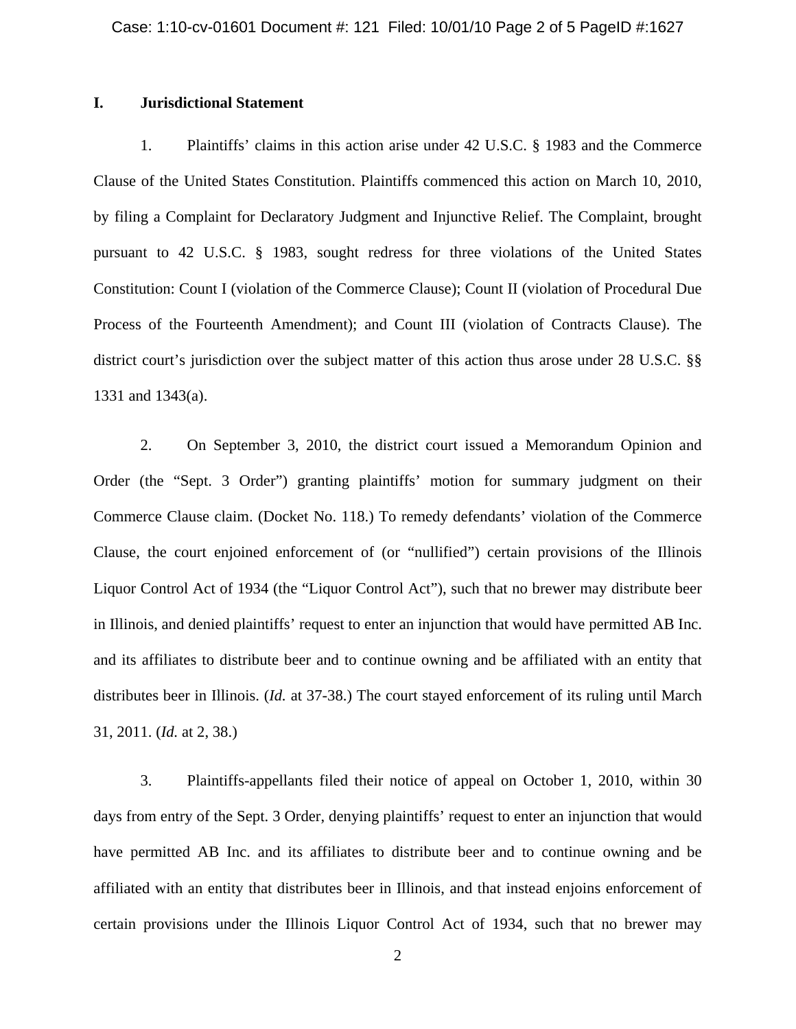#### **I. Jurisdictional Statement**

1. Plaintiffs' claims in this action arise under 42 U.S.C. § 1983 and the Commerce Clause of the United States Constitution. Plaintiffs commenced this action on March 10, 2010, by filing a Complaint for Declaratory Judgment and Injunctive Relief. The Complaint, brought pursuant to 42 U.S.C. § 1983, sought redress for three violations of the United States Constitution: Count I (violation of the Commerce Clause); Count II (violation of Procedural Due Process of the Fourteenth Amendment); and Count III (violation of Contracts Clause). The district court's jurisdiction over the subject matter of this action thus arose under 28 U.S.C. §§ 1331 and 1343(a).

2. On September 3, 2010, the district court issued a Memorandum Opinion and Order (the "Sept. 3 Order") granting plaintiffs' motion for summary judgment on their Commerce Clause claim. (Docket No. 118.) To remedy defendants' violation of the Commerce Clause, the court enjoined enforcement of (or "nullified") certain provisions of the Illinois Liquor Control Act of 1934 (the "Liquor Control Act"), such that no brewer may distribute beer in Illinois, and denied plaintiffs' request to enter an injunction that would have permitted AB Inc. and its affiliates to distribute beer and to continue owning and be affiliated with an entity that distributes beer in Illinois. (*Id.* at 37-38.) The court stayed enforcement of its ruling until March 31, 2011. (*Id.* at 2, 38.)

3. Plaintiffs-appellants filed their notice of appeal on October 1, 2010, within 30 days from entry of the Sept. 3 Order, denying plaintiffs' request to enter an injunction that would have permitted AB Inc. and its affiliates to distribute beer and to continue owning and be affiliated with an entity that distributes beer in Illinois, and that instead enjoins enforcement of certain provisions under the Illinois Liquor Control Act of 1934, such that no brewer may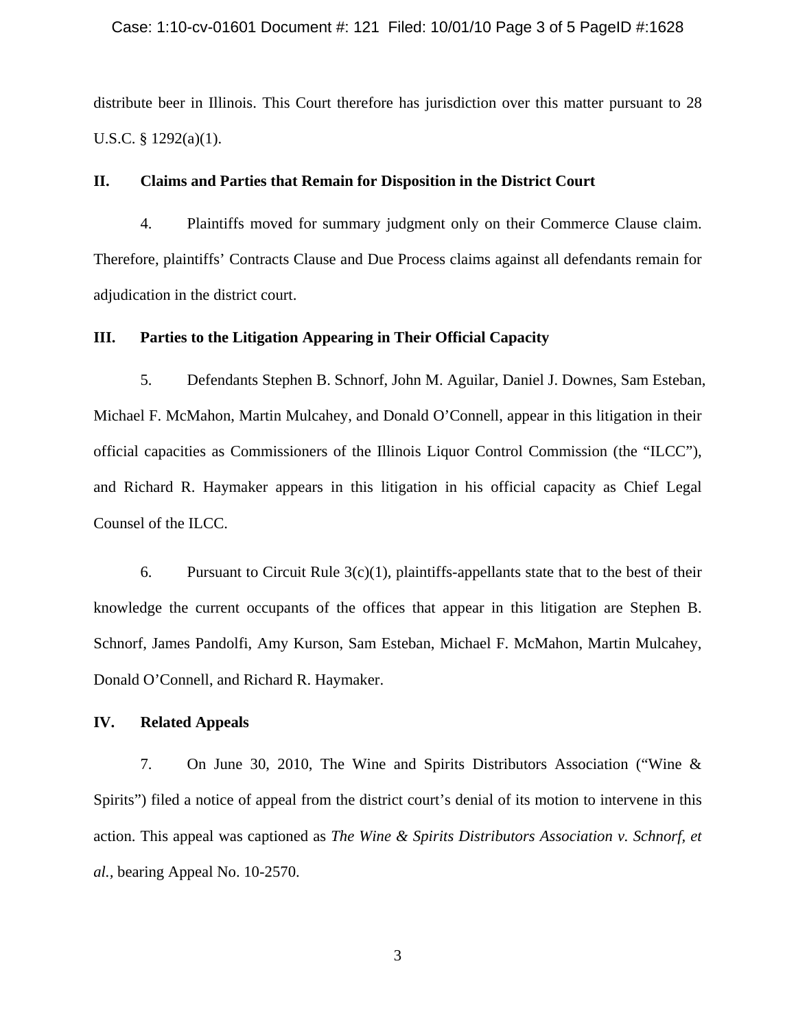#### Case: 1:10-cv-01601 Document #: 121 Filed: 10/01/10 Page 3 of 5 PageID #:1628

distribute beer in Illinois. This Court therefore has jurisdiction over this matter pursuant to 28 U.S.C. § 1292(a)(1).

### **II. Claims and Parties that Remain for Disposition in the District Court**

4. Plaintiffs moved for summary judgment only on their Commerce Clause claim. Therefore, plaintiffs' Contracts Clause and Due Process claims against all defendants remain for adjudication in the district court.

### **III. Parties to the Litigation Appearing in Their Official Capacity**

5. Defendants Stephen B. Schnorf, John M. Aguilar, Daniel J. Downes, Sam Esteban, Michael F. McMahon, Martin Mulcahey, and Donald O'Connell, appear in this litigation in their official capacities as Commissioners of the Illinois Liquor Control Commission (the "ILCC"), and Richard R. Haymaker appears in this litigation in his official capacity as Chief Legal Counsel of the ILCC.

6. Pursuant to Circuit Rule  $3(c)(1)$ , plaintiffs-appellants state that to the best of their knowledge the current occupants of the offices that appear in this litigation are Stephen B. Schnorf, James Pandolfi, Amy Kurson, Sam Esteban, Michael F. McMahon, Martin Mulcahey, Donald O'Connell, and Richard R. Haymaker.

### **IV. Related Appeals**

7. On June 30, 2010, The Wine and Spirits Distributors Association ("Wine & Spirits") filed a notice of appeal from the district court's denial of its motion to intervene in this action. This appeal was captioned as *The Wine & Spirits Distributors Association v. Schnorf, et al.,* bearing Appeal No. 10-2570.

3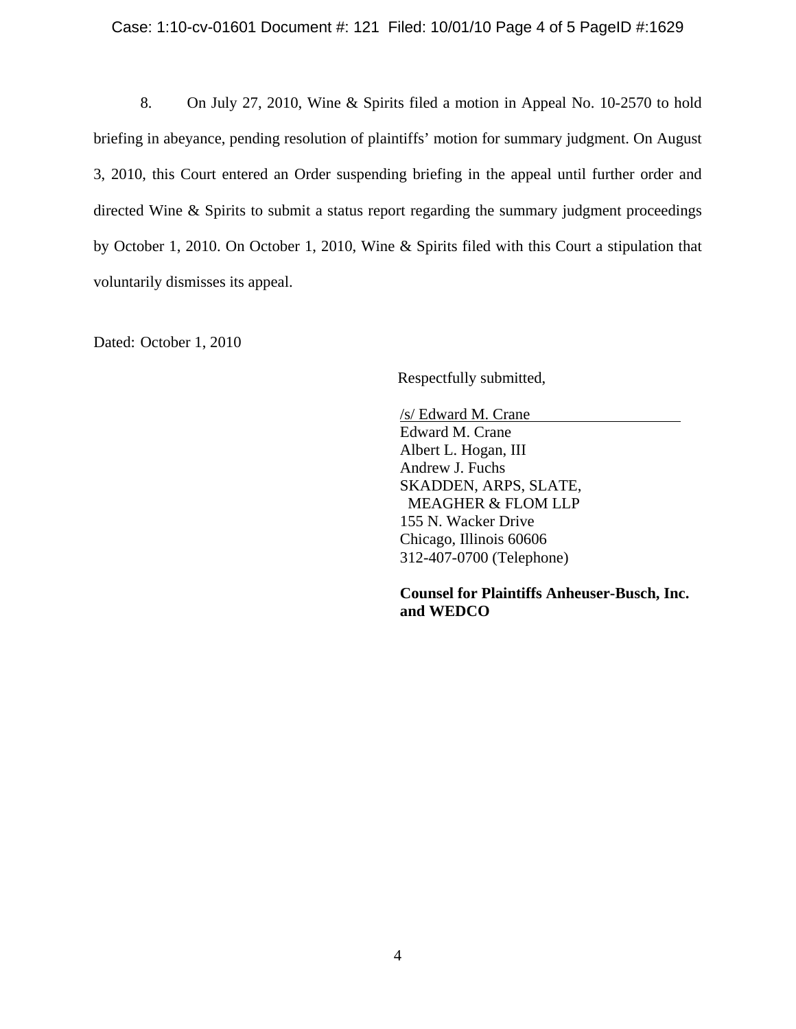8. On July 27, 2010, Wine & Spirits filed a motion in Appeal No. 10-2570 to hold briefing in abeyance, pending resolution of plaintiffs' motion for summary judgment. On August 3, 2010, this Court entered an Order suspending briefing in the appeal until further order and directed Wine & Spirits to submit a status report regarding the summary judgment proceedings by October 1, 2010. On October 1, 2010, Wine & Spirits filed with this Court a stipulation that voluntarily dismisses its appeal.

Dated: October 1, 2010

Respectfully submitted,

 /s/ Edward M. Crane Edward M. Crane Albert L. Hogan, III Andrew J. Fuchs SKADDEN, ARPS, SLATE, MEAGHER & FLOM LLP 155 N. Wacker Drive Chicago, Illinois 60606 312-407-0700 (Telephone)

**Counsel for Plaintiffs Anheuser-Busch, Inc. and WEDCO**